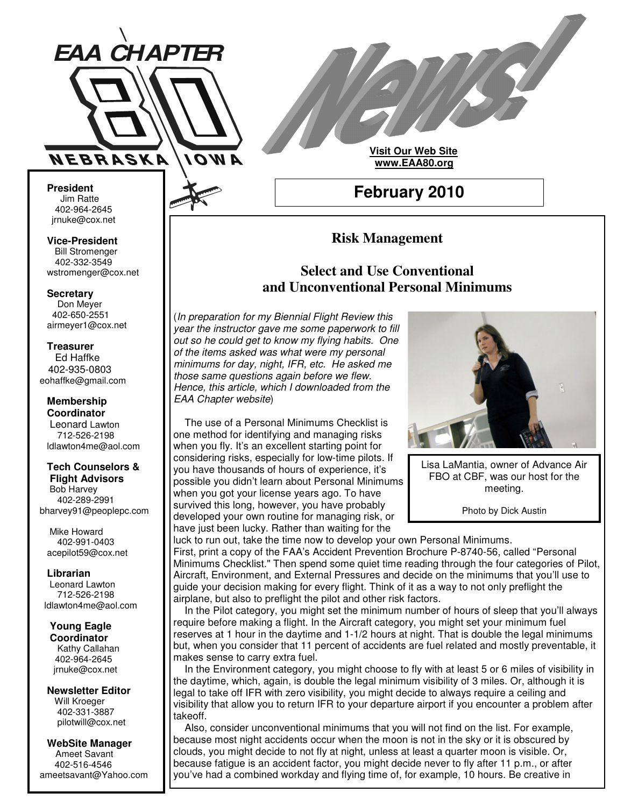

**Visit Our Web Site www.EAA80.org**

**February 2010**

## **President** Jim Ratte 402-964-2645 jrnuke@cox.net Jim Ratte<br>402-964-2645<br>rnuke@cox.net<br>**ice-President**<br>Bill Stromenger

**Vice-President Bill Stromenger** 402-332-3549 jrnuke@cox.net 402-332-3549wstromenger@cox.net

#### **Secretary**

Don Meyer Don Meyer 402-650-2551 airmeyer1@cox.net

#### **Treasurer**

Ed Haffke Ed Haffke 402-935-0803 eohaffke@gmail.com

#### **Membership Coordinator**

Leonard Lawton 402-895-0125 712-526-2198 ldlawton4me@aol.com

### **Tech Counselors & Tech Counselors &**

**Flight Advisors Flight Advisors** Bob Harvey Bob Harvey 402-289-2991 402-289-2991 bharvey91@peoplepc.com bharvey91@peoplepc.com

Mike Howard Mike Howard 402-991-0403 402-991-0403 acepilot59@cox.net acepilot59@cox.net

**Librarian Librarian** Leonard Lawton Leonard Lawton 712-526-2198 712-526-2198 ldlawton4me@aol.com ldlawton4me@aol.com

# **Young Eagle Young Eagle**

**Coordinator Coordinator** Kathy Callahan 402-964-2645 402-964-2645 jrnuke@cox.net jrnuke@cox.net

**Newsletter Editor Newsletter Editor** Will Kroeger Will Kroeger 402-331-3887 402-331-3887 pilotwill@cox.net pilotwill@cox.net

**WebSite Manager WebSite Manager** Ameet Savant Ameet Savant 402-516-4546 402-516-4546 ameetsavant@Yahoo.com ameetsavant@Yahoo.com

# **Select and Use Conventional and Unconventional Personal Minimums**

**Risk Management**

(*In preparation for my Biennial Flight Review this year the instructor gave me some paperwork to fill out so he could get to know my flying habits. One of the items asked was what were my personal minimums for day, night, IFR, etc. He asked me those same questions again before we flew. Hence, this article, which I downloaded from the EAA Chapter website*)

The use of a Personal Minimums Checklist is one method for identifying and managing risks when you fly. It's an excellent starting point for considering risks, especially for low-time pilots. If you have thousands of hours of experience, it's possible you didn't learn about Personal Minimums when you got your license years ago. To have survived this long, however, you have probably developed your own routine for managing risk, or have just been lucky. Rather than waiting for the



Lisa LaMantia, owner of Advance Air FBO at CBF, was our host for the meeting.

Photo by Dick Austin

luck to run out, take the time now to develop your own Personal Minimums. First, print a copy of the FAA's Accident Prevention Brochure P-8740-56, called "Personal Minimums Checklist." Then spend some quiet time reading through the four categories of Pilot, Aircraft, Environment, and External Pressures and decide on the minimums that you'll use to guide your decision making for every flight. Think of it as a way to not only preflight the airplane, but also to preflight the pilot and other risk factors.

In the Pilot category, you might set the minimum number of hours of sleep that you'll always require before making a flight. In the Aircraft category, you might set your minimum fuel reserves at 1 hour in the daytime and 1-1/2 hours at night. That is double the legal minimums but, when you consider that 11 percent of accidents are fuel related and mostly preventable, it makes sense to carry extra fuel.

In the Environment category, you might choose to fly with at least 5 or 6 miles of visibility in the daytime, which, again, is double the legal minimum visibility of 3 miles. Or, although it is legal to take off IFR with zero visibility, you might decide to always require a ceiling and visibility that allow you to return IFR to your departure airport if you encounter a problem after takeoff.

Also, consider unconventional minimums that you will not find on the list. For example, because most night accidents occur when the moon is not in the sky or it is obscured by clouds, you might decide to not fly at night, unless at least a quarter moon is visible. Or, because fatigue is an accident factor, you might decide never to fly after 11 p.m., or after you've had a combined workday and flying time of, for example, 10 hours. Be creative in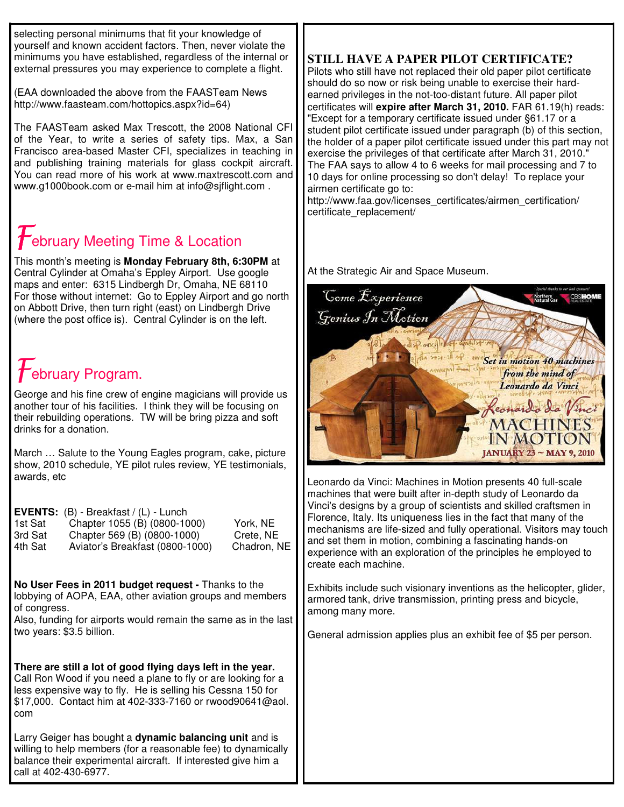selecting personal minimums that fit your knowledge of yourself and known accident factors. Then, never violate the minimums you have established, regardless of the internal or external pressures you may experience to complete a flight.

(EAA downloaded the above from the FAASTeam News http://www.faasteam.com/hottopics.aspx?id=64)

The FAASTeam asked Max Trescott, the 2008 National CFI of the Year, to write a series of safety tips. Max, a San Francisco area-based Master CFI, specializes in teaching in and publishing training materials for glass cockpit aircraft. You can read more of his work at www.maxtrescott.com and www.g1000book.com or e-mail him at info@sjflight.com .

# **February Meeting Time & Location**

This month's meeting is **Monday February 8th, 6:30PM** at Central Cylinder at Omaha's Eppley Airport. Use google maps and enter: 6315 Lindbergh Dr, Omaha, NE 68110 For those without internet: Go to Eppley Airport and go north on Abbott Drive, then turn right (east) on Lindbergh Drive (where the post office is). Central Cylinder is on the left.

# $\mathcal F$ ebruary Program.

George and his fine crew of engine magicians will provide us another tour of his facilities. I think they will be focusing on their rebuilding operations. TW will be bring pizza and soft drinks for a donation.

March … Salute to the Young Eagles program, cake, picture show, 2010 schedule, YE pilot rules review, YE testimonials, awards, etc

|         | <b>EVENTS:</b> $(B)$ - Breakfast $/(L)$ - Lunch |             |
|---------|-------------------------------------------------|-------------|
| 1st Sat | Chapter 1055 (B) (0800-1000)                    | York, NE    |
| 3rd Sat | Chapter 569 (B) (0800-1000)                     | Crete, NE   |
| 4th Sat | Aviator's Breakfast (0800-1000)                 | Chadron, NE |

**No User Fees in 2011 budget request -** Thanks to the lobbying of AOPA, EAA, other aviation groups and members of congress.

Also, funding for airports would remain the same as in the last two years: \$3.5 billion.

**There are still a lot of good flying days left in the year.** Call Ron Wood if you need a plane to fly or are looking for a less expensive way to fly. He is selling his Cessna 150 for \$17,000. Contact him at 402-333-7160 or rwood90641@aol. com

Larry Geiger has bought a **dynamic balancing unit** and is willing to help members (for a reasonable fee) to dynamically balance their experimental aircraft. If interested give him a call at 402-430-6977.

## **STILL HAVE A PAPER PILOT CERTIFICATE?**

Pilots who still have not replaced their old paper pilot certificate should do so now or risk being unable to exercise their hardearned privileges in the not-too-distant future. All paper pilot certificates will **expire after March 31, 2010.** FAR 61.19(h) reads: "Except for a temporary certificate issued under §61.17 or a student pilot certificate issued under paragraph (b) of this section, the holder of a paper pilot certificate issued under this part may not exercise the privileges of that certificate after March 31, 2010." The FAA says to allow 4 to 6 weeks for mail processing and 7 to 10 days for online processing so don't delay! To replace your airmen certificate go to:

http://www.faa.gov/licenses\_certificates/airmen\_certification/ certificate\_replacement/

At the Strategic Air and Space Museum.



Leonardo da Vinci: Machines in Motion presents 40 full-scale machines that were built after in-depth study of Leonardo da Vinci's designs by a group of scientists and skilled craftsmen in Florence, Italy. Its uniqueness lies in the fact that many of the mechanisms are life-sized and fully operational. Visitors may touch and set them in motion, combining a fascinating hands-on experience with an exploration of the principles he employed to create each machine.

Exhibits include such visionary inventions as the helicopter, glider, armored tank, drive transmission, printing press and bicycle, among many more.

General admission applies plus an exhibit fee of \$5 per person.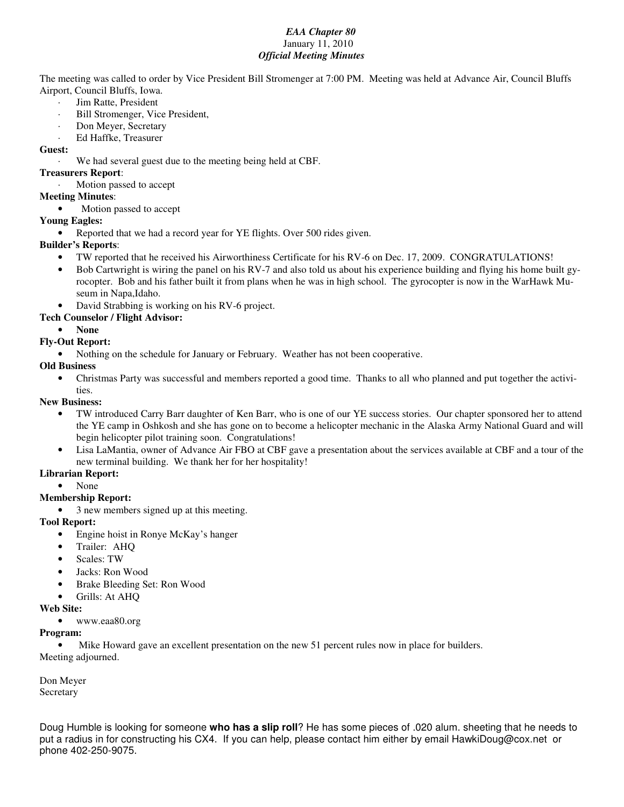#### *EAA Chapter 80* January 11, 2010 *Official Meeting Minutes*

The meeting was called to order by Vice President Bill Stromenger at 7:00 PM. Meeting was held at Advance Air, Council Bluffs Airport, Council Bluffs, Iowa.

- Jim Ratte, President
- Bill Stromenger, Vice President,
- Don Meyer, Secretary
- · Ed Haffke, Treasurer

#### **Guest:**

We had several guest due to the meeting being held at CBF.

#### **Treasurers Report**:

Motion passed to accept

#### **Meeting Minutes**:

• Motion passed to accept

#### **Young Eagles:**

• Reported that we had a record year for YE flights. Over 500 rides given.

#### **Builder's Reports**:

- TW reported that he received his Airworthiness Certificate for his RV-6 on Dec. 17, 2009. CONGRATULATIONS!
- Bob Cartwright is wiring the panel on his RV-7 and also told us about his experience building and flying his home built gyrocopter. Bob and his father built it from plans when he was in high school. The gyrocopter is now in the WarHawk Museum in Napa,Idaho.
- David Strabbing is working on his RV-6 project.
- **Tech Counselor / Flight Advisor:**

#### • **None**

#### **Fly-Out Report:**

• Nothing on the schedule for January or February. Weather has not been cooperative.

#### **Old Business**

• Christmas Party was successful and members reported a good time. Thanks to all who planned and put together the activities.

#### **New Business:**

- TW introduced Carry Barr daughter of Ken Barr, who is one of our YE success stories. Our chapter sponsored her to attend the YE camp in Oshkosh and she has gone on to become a helicopter mechanic in the Alaska Army National Guard and will begin helicopter pilot training soon. Congratulations!
- Lisa LaMantia, owner of Advance Air FBO at CBF gave a presentation about the services available at CBF and a tour of the new terminal building. We thank her for her hospitality!
- **Librarian Report:**

• None

#### **Membership Report:**

• 3 new members signed up at this meeting.

#### **Tool Report:**

- Engine hoist in Ronye McKay's hanger
- Trailer: AHQ
- Scales: TW
- Jacks: Ron Wood
- Brake Bleeding Set: Ron Wood
- Grills: At AHQ

#### **Web Site:**

• www.eaa80.org

#### **Program:**

Mike Howard gave an excellent presentation on the new 51 percent rules now in place for builders. Meeting adjourned.

Don Meyer Secretary

Doug Humble is looking for someone **who has a slip roll**? He has some pieces of .020 alum. sheeting that he needs to put a radius in for constructing his CX4. If you can help, please contact him either by email HawkiDoug@cox.net or phone 402-250-9075.